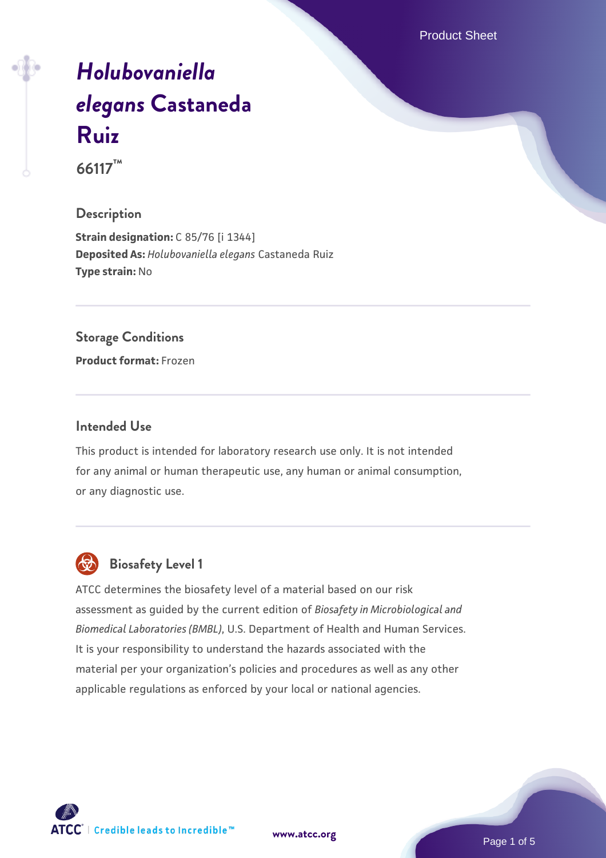Product Sheet

# *[Holubovaniella](https://www.atcc.org/products/66117) [elegans](https://www.atcc.org/products/66117)* **[Castaneda](https://www.atcc.org/products/66117) [Ruiz](https://www.atcc.org/products/66117)**

**66117™**

#### **Description**

**Strain designation: C 85/76 [i 1344] Deposited As:** *Holubovaniella elegans* Castaneda Ruiz **Type strain:** No

#### **Storage Conditions**

**Product format:** Frozen

#### **Intended Use**

This product is intended for laboratory research use only. It is not intended for any animal or human therapeutic use, any human or animal consumption, or any diagnostic use.



# **Biosafety Level 1**

ATCC determines the biosafety level of a material based on our risk assessment as guided by the current edition of *Biosafety in Microbiological and Biomedical Laboratories (BMBL)*, U.S. Department of Health and Human Services. It is your responsibility to understand the hazards associated with the material per your organization's policies and procedures as well as any other applicable regulations as enforced by your local or national agencies.

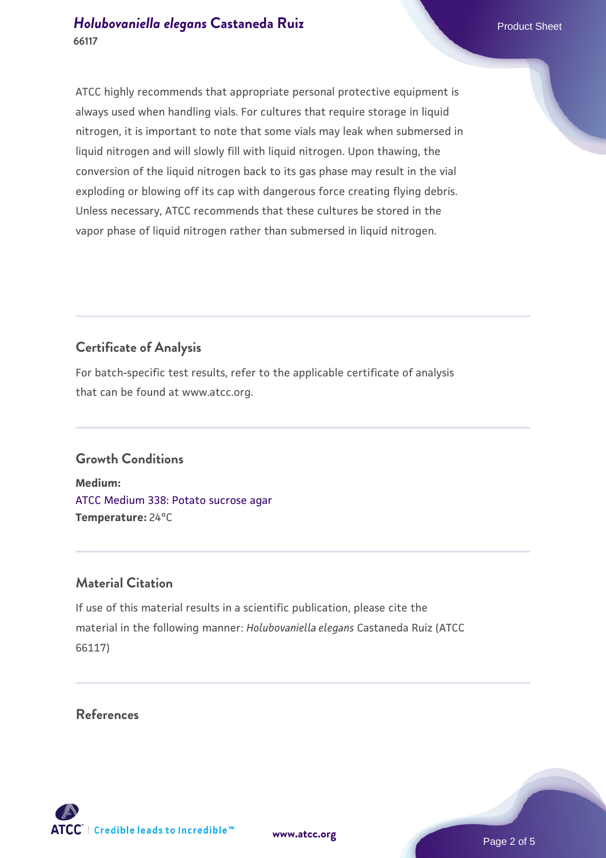# *[Holubovaniella elegans](https://www.atcc.org/products/66117)* [Castaneda Ruiz](https://www.atcc.org/products/66117) **Product Sheet** Product Sheet **66117**

ATCC highly recommends that appropriate personal protective equipment is always used when handling vials. For cultures that require storage in liquid nitrogen, it is important to note that some vials may leak when submersed in liquid nitrogen and will slowly fill with liquid nitrogen. Upon thawing, the conversion of the liquid nitrogen back to its gas phase may result in the vial exploding or blowing off its cap with dangerous force creating flying debris. Unless necessary, ATCC recommends that these cultures be stored in the vapor phase of liquid nitrogen rather than submersed in liquid nitrogen.

# **Certificate of Analysis**

For batch-specific test results, refer to the applicable certificate of analysis that can be found at www.atcc.org.

# **Growth Conditions**

**Medium:**  [ATCC Medium 338: Potato sucrose agar](https://www.atcc.org/-/media/product-assets/documents/microbial-media-formulations/3/3/8/atcc-medium-338.pdf?rev=46546b6f4a85482b856b30458c18db73) **Temperature:** 24°C

# **Material Citation**

If use of this material results in a scientific publication, please cite the material in the following manner: *Holubovaniella elegans* Castaneda Ruiz (ATCC 66117)

**References**



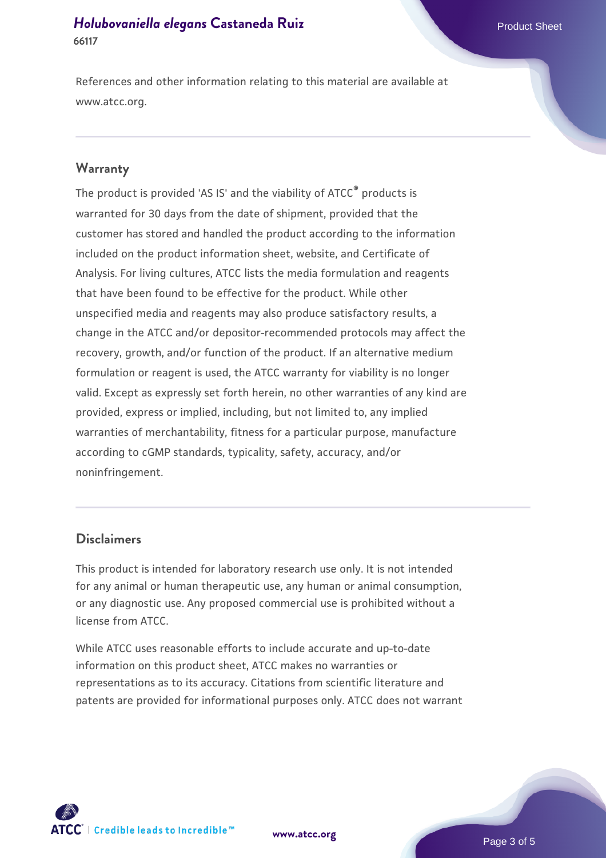### *[Holubovaniella elegans](https://www.atcc.org/products/66117)* [Castaneda Ruiz](https://www.atcc.org/products/66117) **Product Sheet** Product Sheet **66117**

References and other information relating to this material are available at www.atcc.org.

#### **Warranty**

The product is provided 'AS IS' and the viability of ATCC® products is warranted for 30 days from the date of shipment, provided that the customer has stored and handled the product according to the information included on the product information sheet, website, and Certificate of Analysis. For living cultures, ATCC lists the media formulation and reagents that have been found to be effective for the product. While other unspecified media and reagents may also produce satisfactory results, a change in the ATCC and/or depositor-recommended protocols may affect the recovery, growth, and/or function of the product. If an alternative medium formulation or reagent is used, the ATCC warranty for viability is no longer valid. Except as expressly set forth herein, no other warranties of any kind are provided, express or implied, including, but not limited to, any implied warranties of merchantability, fitness for a particular purpose, manufacture according to cGMP standards, typicality, safety, accuracy, and/or noninfringement.

#### **Disclaimers**

This product is intended for laboratory research use only. It is not intended for any animal or human therapeutic use, any human or animal consumption, or any diagnostic use. Any proposed commercial use is prohibited without a license from ATCC.

While ATCC uses reasonable efforts to include accurate and up-to-date information on this product sheet, ATCC makes no warranties or representations as to its accuracy. Citations from scientific literature and patents are provided for informational purposes only. ATCC does not warrant

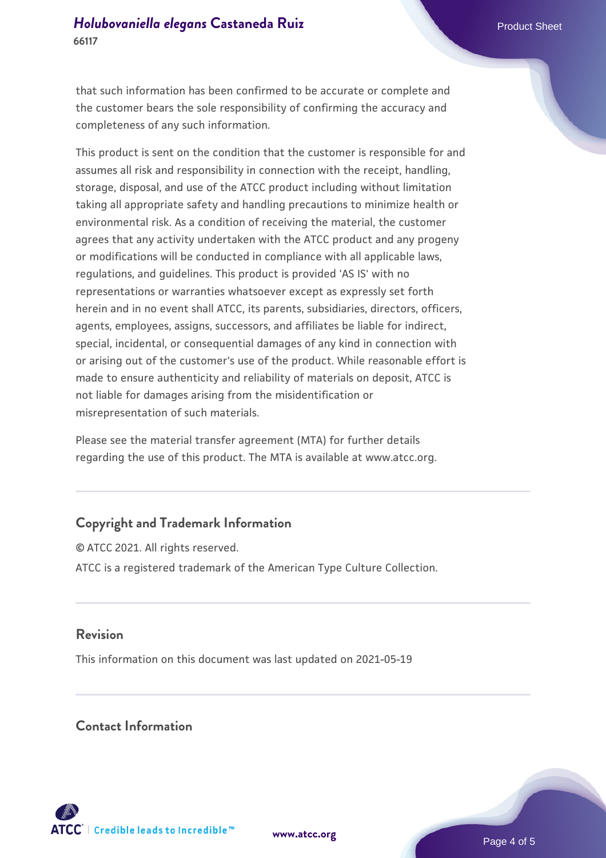# *[Holubovaniella elegans](https://www.atcc.org/products/66117)* [Castaneda Ruiz](https://www.atcc.org/products/66117) **Product Sheet** Product Sheet **66117**

that such information has been confirmed to be accurate or complete and the customer bears the sole responsibility of confirming the accuracy and completeness of any such information.

This product is sent on the condition that the customer is responsible for and assumes all risk and responsibility in connection with the receipt, handling, storage, disposal, and use of the ATCC product including without limitation taking all appropriate safety and handling precautions to minimize health or environmental risk. As a condition of receiving the material, the customer agrees that any activity undertaken with the ATCC product and any progeny or modifications will be conducted in compliance with all applicable laws, regulations, and guidelines. This product is provided 'AS IS' with no representations or warranties whatsoever except as expressly set forth herein and in no event shall ATCC, its parents, subsidiaries, directors, officers, agents, employees, assigns, successors, and affiliates be liable for indirect, special, incidental, or consequential damages of any kind in connection with or arising out of the customer's use of the product. While reasonable effort is made to ensure authenticity and reliability of materials on deposit, ATCC is not liable for damages arising from the misidentification or misrepresentation of such materials.

Please see the material transfer agreement (MTA) for further details regarding the use of this product. The MTA is available at www.atcc.org.

# **Copyright and Trademark Information**

© ATCC 2021. All rights reserved. ATCC is a registered trademark of the American Type Culture Collection.

#### **Revision**

This information on this document was last updated on 2021-05-19

#### **Contact Information**